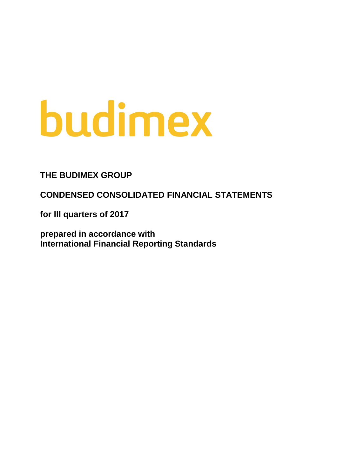# budimex

### **THE BUDIMEX GROUP**

**CONDENSED CONSOLIDATED FINANCIAL STATEMENTS**

**for III quarters of 2017**

**prepared in accordance with International Financial Reporting Standards**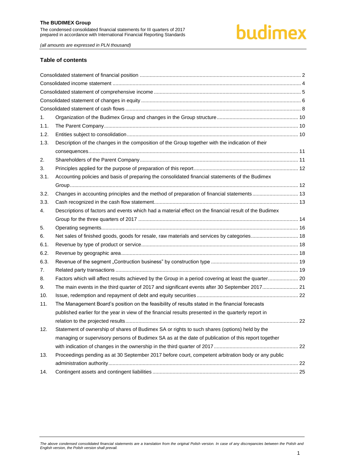## budimex

*(all amounts are expressed in PLN thousand)*

#### **Table of contents**

| 1.   |                                                                                                       |  |
|------|-------------------------------------------------------------------------------------------------------|--|
| 1.1. |                                                                                                       |  |
| 1.2. |                                                                                                       |  |
| 1.3. | Description of the changes in the composition of the Group together with the indication of their      |  |
|      |                                                                                                       |  |
| 2.   |                                                                                                       |  |
| 3.   |                                                                                                       |  |
| 3.1. | Accounting policies and basis of preparing the consolidated financial statements of the Budimex       |  |
|      |                                                                                                       |  |
| 3.2. | Changes in accounting principles and the method of preparation of financial statements 13             |  |
| 3.3. |                                                                                                       |  |
| 4.   | Descriptions of factors and events which had a material effect on the financial result of the Budimex |  |
|      |                                                                                                       |  |
| 5.   |                                                                                                       |  |
| 6.   | Net sales of finished goods, goods for resale, raw materials and services by categories 18            |  |
| 6.1. |                                                                                                       |  |
| 6.2. |                                                                                                       |  |
| 6.3. |                                                                                                       |  |
| 7.   |                                                                                                       |  |
| 8.   | Factors which will affect results achieved by the Group in a period covering at least the quarter 20  |  |
| 9.   | The main events in the third quarter of 2017 and significant events after 30 September 2017 21        |  |
| 10.  |                                                                                                       |  |
| 11.  | The Management Board's position on the feasibility of results stated in the financial forecasts       |  |
|      | published earlier for the year in view of the financial results presented in the quarterly report in  |  |
|      |                                                                                                       |  |
| 12.  | Statement of ownership of shares of Budimex SA or rights to such shares (options) held by the         |  |
|      | managing or supervisory persons of Budimex SA as at the date of publication of this report together   |  |
|      |                                                                                                       |  |
| 13.  | Proceedings pending as at 30 September 2017 before court, competent arbitration body or any public    |  |
|      |                                                                                                       |  |
| 14.  |                                                                                                       |  |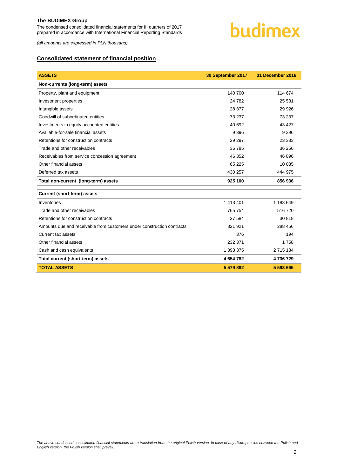*(all amounts are expressed in PLN thousand)*

#### <span id="page-2-0"></span>**Consolidated statement of financial position**

| <b>ASSETS</b>                                                          | 30 September 2017 | 31 December 2016 |
|------------------------------------------------------------------------|-------------------|------------------|
| Non-currents (long-term) assets                                        |                   |                  |
| Property, plant and equipment                                          | 140 700           | 114 674          |
| Investment properties                                                  | 24 782            | 25 581           |
| Intangible assets                                                      | 28 377            | 29 9 26          |
| Goodwill of subordinated entities                                      | 73 237            | 73 237           |
| Investments in equity accounted entities                               | 40 692            | 43 4 27          |
| Available-for-sale financial assets                                    | 9 3 9 6           | 9 3 9 6          |
| Retentions for construction contracts                                  | 29 29 7           | 23 3 3 3         |
| Trade and other receivables                                            | 36 785            | 36 256           |
| Receivables from service concession agreement                          | 46 352            | 46 096           |
| Other financial assets                                                 | 65 225            | 10 0 35          |
| Deferred tax assets                                                    | 430 257           | 444 975          |
| Total non-current (long-term) assets                                   | 925 100           | 856936           |
| <b>Current (short-term) assets</b>                                     |                   |                  |
| Inventories                                                            | 1 413 401         | 1 183 649        |
| Trade and other receivables                                            | 765 754           | 516720           |
| Retentions for construction contracts                                  | 27 584            | 30 818           |
| Amounts due and receivable from customers under construction contracts | 821 921           | 288 456          |
| Current tax assets                                                     | 376               | 194              |
| Other financial assets                                                 | 232 371           | 1758             |
| Cash and cash equivalents                                              | 1 393 375         | 2 715 134        |
| Total current (short-term) assets                                      | 4 654 782         | 4736729          |
| <b>TOTAL ASSETS</b>                                                    | 5 579 882         | 5 593 665        |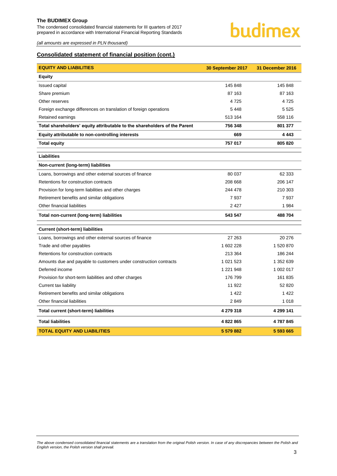The condensed consolidated financial statements for III quarters of 2017 prepared in accordance with International Financial Reporting Standards

*(all amounts are expressed in PLN thousand)*

#### **Consolidated statement of financial position (cont.)**

| <b>EQUITY AND LIABILITIES</b>                                             | 30 September 2017 | <b>31 December 2016</b> |
|---------------------------------------------------------------------------|-------------------|-------------------------|
| Equity                                                                    |                   |                         |
| <b>Issued capital</b>                                                     | 145 848           | 145 848                 |
| Share premium                                                             | 87 163            | 87 163                  |
| Other reserves                                                            | 4 7 2 5           | 4725                    |
| Foreign exchange differences on translation of foreign operations         | 5448              | 5 5 2 5                 |
| Retained earnings                                                         | 513 164           | 558 116                 |
| Total shareholders' equity attributable to the shareholders of the Parent | 756 348           | 801 377                 |
| Equity attributable to non-controlling interests                          | 669               | 4 4 4 3                 |
| <b>Total equity</b>                                                       | 757 017           | 805 820                 |
| <b>Liabilities</b>                                                        |                   |                         |
| Non-current (long-term) liabilities                                       |                   |                         |
| Loans, borrowings and other external sources of finance                   | 80 037            | 62 333                  |
| Retentions for construction contracts                                     | 208 668           | 206 147                 |
| Provision for long-term liabilities and other charges                     | 244 478           | 210 303                 |
| Retirement benefits and similar obligations                               | 7937              | 7937                    |
| Other financial liabilities                                               | 2 4 2 7           | 1984                    |
| Total non-current (long-term) liabilities                                 | 543 547           | 488704                  |
| <b>Current (short-term) liabilities</b>                                   |                   |                         |
| Loans, borrowings and other external sources of finance                   | 27 263            | 20 276                  |
| Trade and other payables                                                  | 1602228           | 1 520 870               |
| Retentions for construction contracts                                     | 213 364           | 186 244                 |
| Amounts due and payable to customers under construction contracts         | 1 0 21 5 23       | 1 352 639               |
| Deferred income                                                           | 1 2 2 1 9 4 8     | 1 002 017               |
| Provision for short-term liabilities and other charges                    | 176 799           | 161 835                 |
| Current tax liability                                                     | 11 922            | 52 820                  |
| Retirement benefits and similar obligations                               | 1 4 2 2           | 1 4 2 2                 |
| Other financial liabilities                                               | 2849              | 1 0 1 8                 |
| Total current (short-term) liabilities                                    | 4 279 318         | 4 299 141               |
| <b>Total liabilities</b>                                                  | 4 822 865         | 4787845                 |
| <b>TOTAL EQUITY AND LIABILITIES</b>                                       | 5 579 882         | 5 593 665               |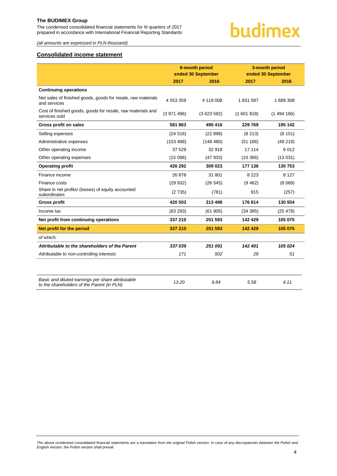The condensed consolidated financial statements for III quarters of 2017 prepared in accordance with International Financial Reporting Standards

*(all amounts are expressed in PLN thousand)*

#### <span id="page-4-0"></span>**Consolidated income statement**

|                                                                                                 |           | 9-month period<br>ended 30 September |           | 3-month period<br>ended 30 September |
|-------------------------------------------------------------------------------------------------|-----------|--------------------------------------|-----------|--------------------------------------|
|                                                                                                 | 2017      | 2016                                 | 2017      | 2016                                 |
| <b>Continuing operations</b>                                                                    |           |                                      |           |                                      |
| Net sales of finished goods, goods for resale, raw materials<br>and services                    | 4 553 359 | 4 119 008                            | 1831587   | 1 689 308                            |
| Cost of finished goods, goods for resale, raw materials and<br>services sold                    | (3971496) | (3623592)                            | (1601818) | (1494166)                            |
| <b>Gross profit on sales</b>                                                                    | 581 863   | 495 416                              | 229 769   | 195 142                              |
| Selling expenses                                                                                | (24516)   | (22898)                              | (8213)    | (8151)                               |
| Administrative expenses                                                                         | (153 488) | (148 480)                            | (51166)   | (49219)                              |
| Other operating income                                                                          | 37 529    | 32 918                               | 17 114    | 6012                                 |
| Other operating expenses                                                                        | (15096)   | (47933)                              | (10366)   | (13031)                              |
| <b>Operating profit</b>                                                                         | 426 292   | 309 023                              | 177 138   | 130753                               |
| Finance income                                                                                  | 26 878    | 31 801                               | 8 2 2 3   | 8 1 2 7                              |
| Finance costs                                                                                   | (29932)   | (26 545)                             | (9462)    | (8069)                               |
| Share in net profits/ (losses) of equity accounted<br>subordinates                              | (2735)    | (781)                                | 915       | (257)                                |
| <b>Gross profit</b>                                                                             | 420 503   | 313 498                              | 176814    | 130 554                              |
| Income tax                                                                                      | (83 293)  | (61905)                              | (34 385)  | (25 479)                             |
| Net profit from continuing operations                                                           | 337 210   | 251 593                              | 142 429   | 105 075                              |
| Net profit for the period                                                                       | 337 210   | 251 593                              | 142 429   | 105 075                              |
| of which:                                                                                       |           |                                      |           |                                      |
| Attributable to the shareholders of the Parent                                                  | 337039    | 251 091                              | 142 401   | 105 024                              |
| Attributable to non-controlling interests                                                       | 171       | 502                                  | 28        | 51                                   |
|                                                                                                 |           |                                      |           |                                      |
| Basic and diluted earnings per share attributable<br>to the shareholders of the Parent (in PLN) | 13.20     | 9.84                                 | 5.58      | 4.11                                 |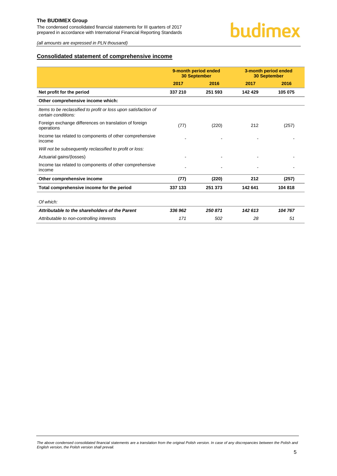The condensed consolidated financial statements for III quarters of 2017 prepared in accordance with International Financial Reporting Standards

*(all amounts are expressed in PLN thousand)*

#### <span id="page-5-0"></span>**Consolidated statement of comprehensive income**

|                                                                                        | 9-month period ended<br><b>30 September</b> |         |         | 3-month period ended<br><b>30 September</b> |
|----------------------------------------------------------------------------------------|---------------------------------------------|---------|---------|---------------------------------------------|
|                                                                                        | 2017                                        | 2016    | 2017    | 2016                                        |
| Net profit for the period                                                              | 337 210                                     | 251 593 | 142 429 | 105 075                                     |
| Other comprehensive income which:                                                      |                                             |         |         |                                             |
| Items to be reclassified to profit or loss upon satisfaction of<br>certain conditions: |                                             |         |         |                                             |
| Foreign exchange differences on translation of foreign<br>operations                   | (77)                                        | (220)   | 212     | (257)                                       |
| Income tax related to components of other comprehensive<br>income                      |                                             |         |         |                                             |
| Will not be subsequently reclassified to profit or loss:                               |                                             |         |         |                                             |
| Actuarial gains/(losses)                                                               |                                             |         |         |                                             |
| Income tax related to components of other comprehensive<br>income                      |                                             |         |         |                                             |
| Other comprehensive income                                                             | (77)                                        | (220)   | 212     | (257)                                       |
| Total comprehensive income for the period                                              | 337 133                                     | 251 373 | 142 641 | 104 818                                     |
| Of which:                                                                              |                                             |         |         |                                             |
| Attributable to the shareholders of the Parent                                         | 336 962                                     | 250871  | 142 613 | 104 767                                     |
| Attributable to non-controlling interests                                              | 171                                         | 502     | 28      | 51                                          |
|                                                                                        |                                             |         |         |                                             |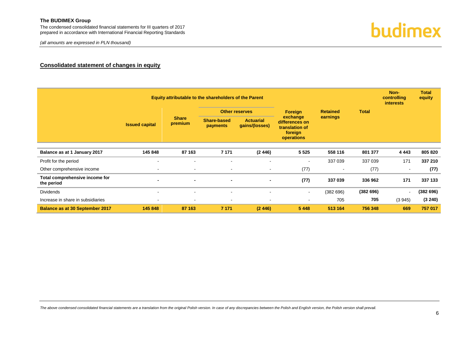*(all amounts are expressed in PLN thousand)*



#### **Consolidated statement of changes in equity**

<span id="page-6-0"></span>

|                                              |                       |                         |                                | Non-<br>controlling<br>interests   | <b>Total</b><br>equity                                                |                 |              |                |          |
|----------------------------------------------|-----------------------|-------------------------|--------------------------------|------------------------------------|-----------------------------------------------------------------------|-----------------|--------------|----------------|----------|
|                                              |                       |                         |                                | <b>Other reserves</b>              | <b>Foreign</b>                                                        | <b>Retained</b> | <b>Total</b> |                |          |
|                                              | <b>Issued capital</b> | <b>Share</b><br>premium | <b>Share-based</b><br>payments | <b>Actuarial</b><br>gains/(losses) | exchange<br>differences on<br>translation of<br>foreign<br>operations | earnings        |              |                |          |
|                                              |                       |                         |                                |                                    |                                                                       |                 |              |                |          |
| Balance as at 1 January 2017                 | 145 848               | 87 163                  | 7 1 7 1                        | (2446)                             | 5 5 2 5                                                               | 558 116         | 801 377      | 4 4 4 3        | 805 820  |
| Profit for the period                        |                       | $\sim$                  |                                |                                    | $\blacksquare$                                                        | 337 039         | 337 039      | 171            | 337 210  |
| Other comprehensive income                   | $\sim$                | $\sim$                  | $\overline{\phantom{a}}$       | $\blacksquare$                     | (77)                                                                  |                 | (77)         |                | (77)     |
| Total comprehensive income for<br>the period | $\blacksquare$        | $\blacksquare$          | $\overline{\phantom{a}}$       | $\blacksquare$                     | (77)                                                                  | 337 039         | 336 962      | 171            | 337 133  |
| <b>Dividends</b>                             | $\sim$                | $\sim$                  | $\sim$                         | $\overline{\phantom{a}}$           | $\sim$                                                                | (382696)        | (382696)     | $\blacksquare$ | (382696) |
| Increase in share in subsidiaries            | $\sim$                | $\sim$                  | $\overline{\phantom{a}}$       | $\overline{\phantom{a}}$           | $\blacksquare$                                                        | 705             | 705          | (3945)         | (3 240)  |
| <b>Balance as at 30 September 2017</b>       | 145 848               | 87 163                  | 7 1 7 1                        | (2446)                             | 5 4 4 8                                                               | 513 164         | 756 348      | 669            | 757 017  |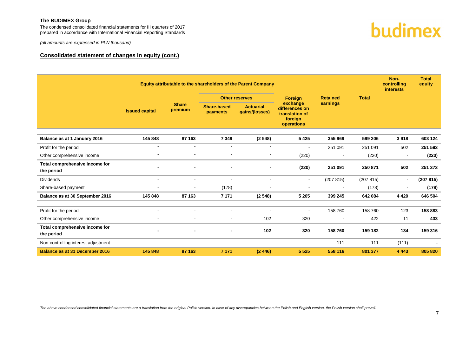The condensed consolidated financial statements for III quarters of 2017 prepared in accordance with International Financial Reporting Standards budimex

*(all amounts are expressed in PLN thousand)*

#### **Consolidated statement of changes in equity (cont.)**

|                                              |                          |                          |                                | Equity attributable to the shareholders of the Parent Company |                                                                       |                 |              | Non-<br>controlling<br><i>interests</i> | <b>Total</b><br>equity |
|----------------------------------------------|--------------------------|--------------------------|--------------------------------|---------------------------------------------------------------|-----------------------------------------------------------------------|-----------------|--------------|-----------------------------------------|------------------------|
|                                              |                          |                          |                                | <b>Other reserves</b>                                         | <b>Foreign</b>                                                        | <b>Retained</b> | <b>Total</b> |                                         |                        |
|                                              | <b>Issued capital</b>    | <b>Share</b><br>premium  | <b>Share-based</b><br>payments | <b>Actuarial</b><br>gains/(losses)                            | exchange<br>differences on<br>translation of<br>foreign<br>operations | earnings        |              |                                         |                        |
| Balance as at 1 January 2016                 | 145 848                  | 87 163                   | 7 3 4 9                        | (2548)                                                        | 5 4 2 5                                                               | 355 969         | 599 206      | 3918                                    | 603 124                |
| Profit for the period                        |                          | $\overline{\phantom{a}}$ |                                |                                                               | $\blacksquare$                                                        | 251 091         | 251 091      | 502                                     | 251 593                |
| Other comprehensive income                   |                          |                          |                                |                                                               | (220)                                                                 |                 | (220)        | $\overline{\phantom{a}}$                | (220)                  |
| Total comprehensive income for<br>the period |                          |                          |                                |                                                               | (220)                                                                 | 251 091         | 250 871      | 502                                     | 251 373                |
| <b>Dividends</b>                             | $\overline{\phantom{a}}$ | $\sim$                   | $\overline{\phantom{a}}$       |                                                               | $\blacksquare$                                                        | (207 815)       | (207 815)    | $\blacksquare$                          | (207 815)              |
| Share-based payment                          |                          | $\overline{\phantom{a}}$ | (178)                          |                                                               | $\overline{\phantom{a}}$                                              |                 | (178)        | $\overline{\phantom{0}}$                | (178)                  |
| Balance as at 30 September 2016              | 145 848                  | 87 163                   | 7 1 7 1                        | (2548)                                                        | 5 2 0 5                                                               | 399 245         | 642 084      | 4 4 2 0                                 | 646 504                |
|                                              |                          |                          |                                |                                                               |                                                                       |                 |              |                                         |                        |
| Profit for the period                        |                          |                          |                                |                                                               | $\blacksquare$                                                        | 158 760         | 158 760      | 123                                     | 158 883                |
| Other comprehensive income                   |                          |                          | $\blacksquare$                 | 102                                                           | 320                                                                   |                 | 422          | 11                                      | 433                    |
| Total comprehensive income for<br>the period |                          |                          |                                | 102                                                           | 320                                                                   | 158 760         | 159 182      | 134                                     | 159 316                |
| Non-controlling interest adjustment          | $\blacksquare$           | $\overline{\phantom{a}}$ | $\sim$                         | $\overline{\phantom{a}}$                                      | $\blacksquare$                                                        | 111             | 111          | (111)                                   | $\blacksquare$         |
| <b>Balance as at 31 December 2016</b>        | 145 848                  | 87 163                   | 7 1 7 1                        | (2446)                                                        | 5 5 2 5                                                               | 558 116         | 801 377      | 4 4 4 3                                 | 805 820                |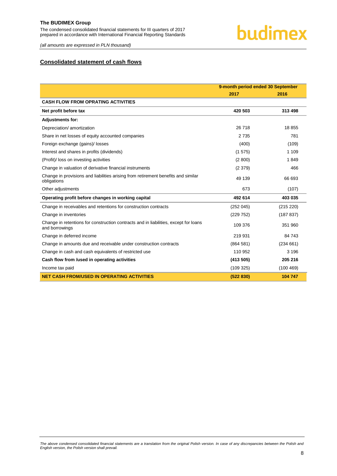### budimex

*(all amounts are expressed in PLN thousand)*

#### <span id="page-8-0"></span>**Consolidated statement of cash flows**

|                                                                                                        | 9-month period ended 30 September |           |  |
|--------------------------------------------------------------------------------------------------------|-----------------------------------|-----------|--|
|                                                                                                        | 2017                              | 2016      |  |
| <b>CASH FLOW FROM OPRATING ACTIVITIES</b>                                                              |                                   |           |  |
| Net profit before tax                                                                                  | 420 503                           | 313 498   |  |
| <b>Adjustments for:</b>                                                                                |                                   |           |  |
| Depreciation/ amortization                                                                             | 26718                             | 18855     |  |
| Share in net losses of equity accounted companies                                                      | 2735                              | 781       |  |
| Foreign exchange (gains)/ losses                                                                       | (400)                             | (109)     |  |
| Interest and shares in profits (dividends)                                                             | (1575)                            | 1 1 0 9   |  |
| (Profit)/ loss on investing activities                                                                 | (2800)                            | 1849      |  |
| Change in valuation of derivative financial instruments                                                | (2379)                            | 466       |  |
| Change in provisions and liabilities arising from retirement benefits and similar<br>obligations       | 49 139                            | 66 693    |  |
| Other adjustments                                                                                      | 673                               | (107)     |  |
| Operating profit before changes in working capital                                                     | 492 614                           | 403 035   |  |
| Change in receivables and retentions for construction contracts                                        | (252 045)                         | (215 220) |  |
| Change in inventories                                                                                  | (229 752)                         | (187 837) |  |
| Change in retentions for construction contracts and in liabilities, except for loans<br>and borrowings | 109 376                           | 351 960   |  |
| Change in deferred income                                                                              | 219 931                           | 84 743    |  |
| Change in amounts due and receivable under construction contracts                                      | (864581)                          | (234661)  |  |
| Change in cash and cash equivalents of restricted use                                                  | 110 952                           | 3 1 9 6   |  |
| Cash flow from /used in operating activities                                                           | (413 505)                         | 205 216   |  |
| Income tax paid                                                                                        | (109325)                          | (100 469) |  |
| <b>NET CASH FROM/USED IN OPERATING ACTIVITIES</b>                                                      | (522 830)                         | 104 747   |  |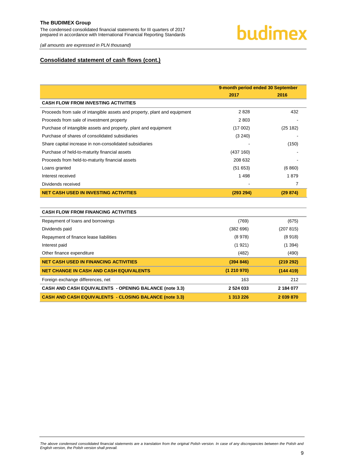The condensed consolidated financial statements for III quarters of 2017 prepared in accordance with International Financial Reporting Standards

### budimex

*(all amounts are expressed in PLN thousand)*

#### **Consolidated statement of cash flows (cont.)**

|                                                                           | 9-month period ended 30 September |           |  |
|---------------------------------------------------------------------------|-----------------------------------|-----------|--|
|                                                                           | 2017                              | 2016      |  |
| <b>CASH FLOW FROM INVESTING ACTIVITIES</b>                                |                                   |           |  |
| Proceeds from sale of intangible assets and property, plant and equipment | 2828                              | 432       |  |
| Proceeds from sale of investment property                                 | 2803                              |           |  |
| Purchase of intangible assets and property, plant and equipment           | (17002)                           | (25 182)  |  |
| Purchase of shares of consolidated subsidiaries                           | (3 240)                           |           |  |
| Share capital increase in non-consolidated subsidiaries                   |                                   | (150)     |  |
| Purchase of held-to-maturity financial assets                             | (437 160)                         |           |  |
| Proceeds from held-to-maturity financial assets                           | 208 632                           |           |  |
| Loans granted                                                             | (51653)                           | (6860)    |  |
| Interest received                                                         | 1 4 9 8                           | 1879      |  |
| Dividends received                                                        |                                   | 7         |  |
| <b>NET CASH USED IN INVESTING ACTIVITIES</b>                              | (293 294)                         | (29874)   |  |
|                                                                           |                                   |           |  |
| <b>CASH FLOW FROM FINANCING ACTIVITIES</b>                                |                                   |           |  |
| Repayment of loans and borrowings                                         | (769)                             | (675)     |  |
| Dividends paid                                                            | (382696)                          | (207 815) |  |
| Repayment of finance lease liabilities                                    | (8978)                            | (8918)    |  |
| Interest paid                                                             | (1921)                            | (1394)    |  |
| Other finance expenditure                                                 | (482)                             | (490)     |  |
| <b>NET CASH USED IN FINANCING ACTIVITIES</b>                              | (394846)                          | (219 292) |  |
| <b>NET CHANGE IN CASH AND CASH EQUIVALENTS</b>                            | (1210970)                         | (144419)  |  |
| Foreign exchange differences, net                                         | 163                               | 212       |  |
| <b>CASH AND CASH EQUIVALENTS - OPENING BALANCE (note 3.3)</b>             | 2 5 24 0 33                       | 2 184 077 |  |
| <b>CASH AND CASH EQUIVALENTS - CLOSING BALANCE (note 3.3)</b>             | 1 313 226                         | 2 039 870 |  |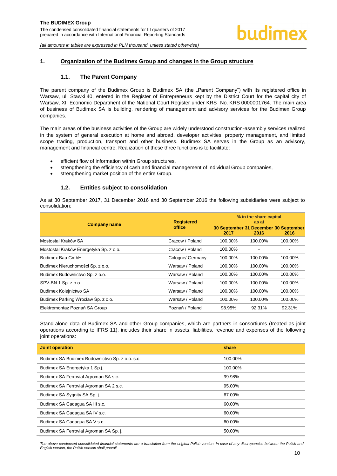#### <span id="page-10-1"></span><span id="page-10-0"></span>**1. Organization of the Budimex Group and changes in the Group structure**

#### **1.1. The Parent Company**

The parent company of the Budimex Group is Budimex SA (the "Parent Company") with its registered office in Warsaw, ul. Stawki 40, entered in the Register of Entrepreneurs kept by the District Court for the capital city of Warsaw, XII Economic Department of the National Court Register under KRS No. KRS 0000001764. The main area of business of Budimex SA is building, rendering of management and advisory services for the Budimex Group companies.

The main areas of the business activities of the Group are widely understood construction-assembly services realized in the system of general execution at home and abroad, developer activities, property management, and limited scope trading, production, transport and other business. Budimex SA serves in the Group as an advisory, management and financial centre. Realization of these three functions is to facilitate:

- efficient flow of information within Group structures,
- strengthening the efficiency of cash and financial management of individual Group companies,
- strengthening market position of the entire Group.

#### **1.2. Entities subject to consolidation**

<span id="page-10-2"></span>As at 30 September 2017, 31 December 2016 and 30 September 2016 the following subsidiaries were subject to consolidation:

|                                        | <b>Registered</b> | % in the share capital<br>as at               |         |         |  |
|----------------------------------------|-------------------|-----------------------------------------------|---------|---------|--|
| <b>Company name</b>                    | office            | 30 September 31 December 30 September<br>2017 | 2016    | 2016    |  |
| Mostostal Kraków SA                    | Cracow / Poland   | 100.00%                                       | 100.00% | 100.00% |  |
| Mostostal Kraków Energetyka Sp. z o.o. | Cracow / Poland   | 100.00%                                       |         |         |  |
| Budimex Bau GmbH                       | Cologne/ Germany  | 100.00%                                       | 100.00% | 100.00% |  |
| Budimex Nieruchomości Sp. z o.o.       | Warsaw / Poland   | 100.00%                                       | 100.00% | 100.00% |  |
| Budimex Budownictwo Sp. z o.o.         | Warsaw / Poland   | 100.00%                                       | 100.00% | 100.00% |  |
| SPV-BN 1 Sp. z o.o.                    | Warsaw / Poland   | 100.00%                                       | 100.00% | 100.00% |  |
| Budimex Kolejnictwo SA                 | Warsaw / Poland   | 100.00%                                       | 100.00% | 100.00% |  |
| Budimex Parking Wrocław Sp. z o.o.     | Warsaw / Poland   | 100.00%                                       | 100.00% | 100.00% |  |
| Elektromontaż Poznań SA Group          | Poznań / Poland   | 98.95%                                        | 92.31%  | 92.31%  |  |

Stand-alone data of Budimex SA and other Group companies, which are partners in consortiums (treated as joint operations according to IFRS 11), includes their share in assets, liabilities, revenue and expenses of the following joint operations:

| <b>Joint operation</b>                         | share   |
|------------------------------------------------|---------|
| Budimex SA Budimex Budownictwo Sp. z o.o. s.c. | 100.00% |
| Budimex SA Energetyka 1 Sp.j.                  | 100.00% |
| Budimex SA Ferrovial Agroman SA s.c.           | 99.98%  |
| Budimex SA Ferrovial Agroman SA 2 s.c.         | 95.00%  |
| Budimex SA Sygnity SA Sp. j.                   | 67.00%  |
| Budimex SA Cadagua SA III s.c.                 | 60.00%  |
| Budimex SA Cadagua SA IV s.c.                  | 60.00%  |
| Budimex SA Cadagua SA V s.c.                   | 60.00%  |
| Budimex SA Ferrovial Agroman SA Sp. j.         | 50.00%  |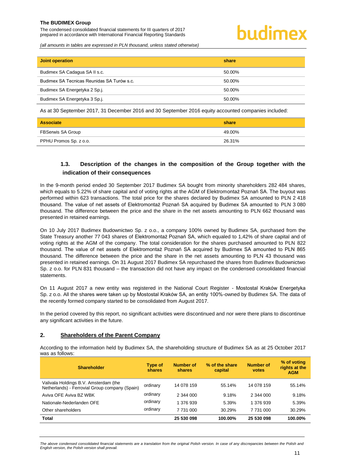The condensed consolidated financial statements for III quarters of 2017 prepared in accordance with International Financial Reporting Standards

*(all amounts in tables are expressed in PLN thousand, unless stated otherwise)*

| Joint operation                            | share  |
|--------------------------------------------|--------|
| Budimex SA Cadagua SA II s.c.              | 50.00% |
| Budimex SA Tecnicas Reunidas SA Turów s.c. | 50.00% |
| Budimex SA Energetyka 2 Sp.j.              | 50.00% |
| Budimex SA Energetyka 3 Sp.j.              | 50.00% |

As at 30 September 2017, 31 December 2016 and 30 September 2016 equity accounted companies included:

| <b>Associate</b>       | share  |
|------------------------|--------|
| FBSerwis SA Group      | 49.00% |
| PPHU Promos Sp. z o.o. | 26.31% |

#### <span id="page-11-0"></span>**1.3. Description of the changes in the composition of the Group together with the indication of their consequences**

In the 9-month period ended 30 September 2017 Budimex SA bought from minority shareholders 282 484 shares, which equals to 5.22% of share capital and of voting rights at the AGM of Elektromontaž Poznań SA. The buyout was performed within 623 transactions. The total price for the shares declared by Budimex SA amounted to PLN 2 418 thousand. The value of net assets of Elektromontaż Poznań SA acquired by Budimex SA amounted to PLN 3 080 thousand. The difference between the price and the share in the net assets amounting to PLN 662 thousand was presented in retained earnings.

On 10 July 2017 Budimex Budownictwo Sp. z o.o., a company 100% owned by Budimex SA, purchased from the State Treasury another 77 043 shares of Elektromontaż Poznań SA, which equaled to 1,42% of share capital and of voting rights at the AGM of the company. The total consideration for the shares purchased amounted to PLN 822 thousand. The value of net assets of Elektromontaż Poznań SA acquired by Budimex SA amounted to PLN 865 thousand. The difference between the price and the share in the net assets amounting to PLN 43 thousand was presented in retained earnings. On 31 August 2017 Budimex SA repurchased the shares from Budimex Budownictwo Sp. z o.o. for PLN 831 thousand – the transaction did not have any impact on the condensed consolidated financial statements.

On 11 August 2017 a new entity was registered in the National Court Register - Mostostal Kraków Energetyka Sp. z o.o. All the shares were taken up by Mostostal Kraków SA, an entity 100%-owned by Budimex SA. The data of the recently formed company started to be consolidated from August 2017.

In the period covered by this report, no significant activities were discontinued and nor were there plans to discontinue any significant activities in the future.

#### <span id="page-11-1"></span>**2. Shareholders of the Parent Company**

According to the information held by Budimex SA, the shareholding structure of Budimex SA as at 25 October 2017 was as follows:

| <b>Shareholder</b>                                                                      | Type of<br>shares | Number of<br>shares | % of the share<br>capital | Number of<br>votes | % of voting<br>rights at the<br><b>AGM</b> |
|-----------------------------------------------------------------------------------------|-------------------|---------------------|---------------------------|--------------------|--------------------------------------------|
| Valivala Holdings B.V. Amsterdam (the<br>Netherlands) - Ferrovial Group company (Spain) | ordinary          | 14 078 159          | 55.14%                    | 14 078 159         | 55.14%                                     |
| Aviva OFE Aviva BZ WBK                                                                  | ordinary          | 2 344 000           | 9.18%                     | 2 344 000          | 9.18%                                      |
| Nationale-Nederlanden OFE                                                               | ordinary          | 1 376 939           | 5.39%                     | 1 376 939          | 5.39%                                      |
| Other shareholders                                                                      | ordinary          | 7 731 000           | 30.29%                    | 7 731 000          | 30.29%                                     |
| Total                                                                                   |                   | 25 530 098          | 100.00%                   | 25 530 098         | 100.00%                                    |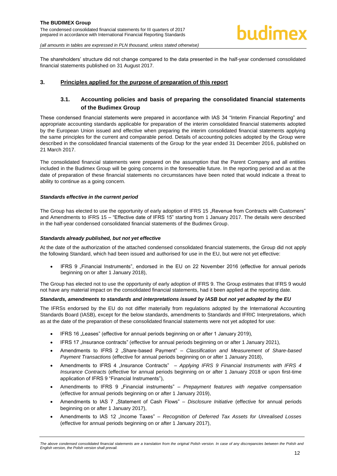The shareholders' structure did not change compared to the data presented in the half-year condensed consolidated financial statements published on 31 August 2017.

#### <span id="page-12-1"></span><span id="page-12-0"></span>**3. Principles applied for the purpose of preparation of this report**

#### **3.1. Accounting policies and basis of preparing the consolidated financial statements of the Budimex Group**

These condensed financial statements were prepared in accordance with IAS 34 "Interim Financial Reporting" and appropriate accounting standards applicable for preparation of the interim consolidated financial statements adopted by the European Union issued and effective when preparing the interim consolidated financial statements applying the same principles for the current and comparable period. Details of accounting policies adopted by the Group were described in the consolidated financial statements of the Group for the year ended 31 December 2016, published on 21 March 2017.

The consolidated financial statements were prepared on the assumption that the Parent Company and all entities included in the Budimex Group will be going concerns in the foreseeable future. In the reporting period and as at the date of preparation of these financial statements no circumstances have been noted that would indicate a threat to ability to continue as a going concern.

#### *Standards effective in the current period*

The Group has elected to use the opportunity of early adoption of IFRS 15 . Revenue from Contracts with Customers" and Amendments to IFRS 15 – "Effective date of IFRS 15" starting from 1 January 2017. The details were described in the half-year condensed consolidated financial statements of the Budimex Group.

#### *Standards already published, but not yet effective*

At the date of the authorization of the attached condensed consolidated financial statements, the Group did not apply the following Standard, which had been issued and authorised for use in the EU, but were not yet effective:

IFRS 9 .Financial Instruments", endorsed in the EU on 22 November 2016 (effective for annual periods beginning on or after 1 January 2018),

The Group has elected not to use the opportunity of early adoption of IFRS 9. The Group estimates that IFRS 9 would not have any material impact on the consolidated financial statements, had it been applied at the reporting date.

#### *Standards, amendments to standards and interpretations issued by IASB but not yet adopted by the EU*

The IFRSs endorsed by the EU do not differ materially from regulations adopted by the International Accounting Standards Board (IASB), except for the below standards, amendments to Standards and IFRIC Interpretations, which as at the date of the preparation of these consolidated financial statements were not yet adopted for use:

- IFRS 16 "Leases" (effective for annual periods beginning on or after 1 January 2019),
- IFRS 17 "Insurance contracts" (effective for annual periods beginning on or after 1 January 2021),
- Amendments to IFRS 2 "Share-based Payment" *Classification and Measurement of Share-based Payment Transactions* (effective for annual periods beginning on or after 1 January 2018),
- Amendments to IFRS 4 "Insurance Contracts" Applying IFRS 9 Financial Instruments with IFRS 4 *Insurance Contracts* (effective for annual periods beginning on or after 1 January 2018 or upon first-time application of IFRS 9 "Financial Instruments"),
- Amendments to IFRS 9 .Financial instruments" *Prepayment features with negative compensation* (effective for annual periods beginning on or after 1 January 2019),
- Amendments to IAS 7 ..Statement of Cash Flows" *Disclosure Initiative* (effective for annual periods beginning on or after 1 January 2017),
- Amendments to IAS 12 "Income Taxes" *Recognition of Deferred Tax Assets for Unrealised Losses* (effective for annual periods beginning on or after 1 January 2017),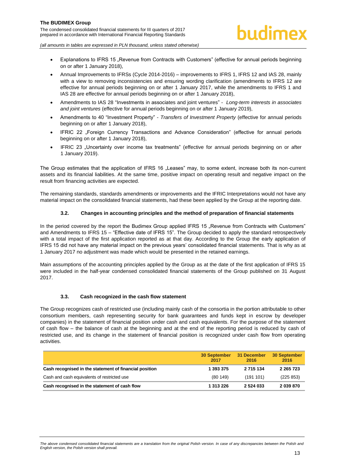- Explanations to IFRS 15 . Revenue from Contracts with Customers" (effective for annual periods beginning on or after 1 January 2018),
- Annual Improvements to IFRSs (Cycle 2014-2016) improvements to IFRS 1, IFRS 12 and IAS 28, mainly with a view to removing inconsistencies and ensuring wording clarification (amendments to IFRS 12 are effective for annual periods beginning on or after 1 January 2017, while the amendments to IFRS 1 and IAS 28 are effective for annual periods beginning on or after 1 January 2018),
- Amendments to IAS 28 "Investments in associates and joint ventures" *Long-term interests in associates and joint ventures* (effective for annual periods beginning on or after 1 January 2019),
- Amendments to 40 "Investment Property" *Transfers of Investment Property* (effective for annual periods beginning on or after 1 January 2018),
- IFRIC 22 "Foreign Currency Transactions and Advance Consideration" (effective for annual periods beginning on or after 1 January 2018),
- IFRIC 23 .Uncertainty over income tax treatments" (effective for annual periods beginning on or after 1 January 2019).

The Group estimates that the application of IFRS 16 . Leases" may, to some extent, increase both its non-current assets and its financial liabilities. At the same time, positive impact on operating result and negative impact on the result from financing activities are expected.

The remaining standards, standards amendments or improvements and the IFRIC Interpretations would not have any material impact on the consolidated financial statements, had these been applied by the Group at the reporting date.

#### **3.2. Changes in accounting principles and the method of preparation of financial statements**

<span id="page-13-0"></span>In the period covered by the report the Budimex Group applied IFRS 15 "Revenue from Contracts with Customers" and Amendments to IFRS 15 – "Effective date of IFRS 15". The Group decided to apply the standard retrospectively with a total impact of the first application reported as at that day. According to the Group the early application of IFRS 15 did not have any material impact on the previous years' consolidated financial statements. That is why as at 1 January 2017 no adjustment was made which would be presented in the retained earnings.

Main assumptions of the accounting principles applied by the Group as at the date of the first application of IFRS 15 were included in the half-year condensed consolidated financial statements of the Group published on 31 August 2017.

#### **3.3. Cash recognized in the cash flow statement**

<span id="page-13-1"></span>The Group recognizes cash of restricted use (including mainly cash of the consortia in the portion attributable to other consortium members, cash representing security for bank guarantees and funds kept in escrow by developer companies) in the statement of financial position under cash and cash equivalents. For the purpose of the statement of cash flow – the balance of cash at the beginning and at the end of the reporting period is reduced by cash of restricted use, and its change in the statement of financial position is recognized under cash flow from operating activities.

|                                                        | <b>30 September</b><br>2017 | 31 December<br>2016 | 30 September<br>2016 |
|--------------------------------------------------------|-----------------------------|---------------------|----------------------|
| Cash recognised in the statement of financial position | 1 393 375                   | 2 715 134           | 2 2 6 5 7 2 3        |
| Cash and cash equivalents of restricted use            | (80149)                     | (191101)            | (225 853)            |
| Cash recognised in the statement of cash flow          | 1 313 226                   | 2 5 24 0 33         | 2 039 870            |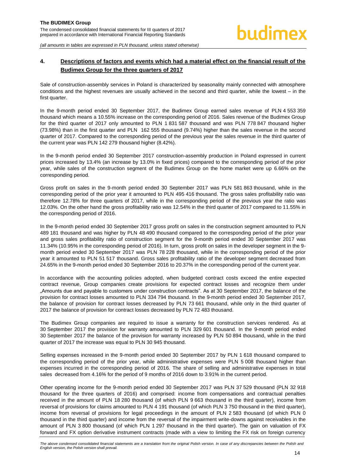#### <span id="page-14-0"></span>**4. Descriptions of factors and events which had a material effect on the financial result of the Budimex Group for the three quarters of 2017**

Sale of construction-assembly services in Poland is characterized by seasonality mainly connected with atmosphere conditions and the highest revenues are usually achieved in the second and third quarter, while the lowest – in the first quarter.

In the 9-month period ended 30 September 2017, the Budimex Group earned sales revenue of PLN 4 553 359 thousand which means a 10.55% increase on the corresponding period of 2016. Sales revenue of the Budimex Group for the third quarter of 2017 only amounted to PLN 1 831 587 thousand and was PLN 778 847 thousand higher (73.98%) than in the first quarter and PLN 162 555 thousand (9.74%) higher than the sales revenue in the second quarter of 2017. Compared to the corresponding period of the previous year the sales revenue in the third quarter of the current year was PLN 142 279 thousand higher (8.42%).

In the 9-month period ended 30 September 2017 construction-assembly production in Poland expressed in current prices increased by 13.4% (an increase by 13.0% in fixed prices) compared to the corresponding period of the prior year, while sales of the construction segment of the Budimex Group on the home market were up 6.66% on the corresponding period.

Gross profit on sales in the 9-month period ended 30 September 2017 was PLN 581 863 thousand, while in the corresponding period of the prior year it amounted to PLN 495 416 thousand. The gross sales profitability ratio was therefore 12.78% for three quarters of 2017, while in the corresponding period of the previous year the ratio was 12.03%. On the other hand the gross profitability ratio was 12.54% in the third quarter of 2017 compared to 11.55% in the corresponding period of 2016.

In the 9-month period ended 30 September 2017 gross profit on sales in the construction segment amounted to PLN 489 181 thousand and was higher by PLN 48 490 thousand compared to the corresponding period of the prior year and gross sales profitability ratio of construction segment for the 9-month period ended 30 September 2017 was 11.34% (10.95% in the corresponding period of 2016). In turn, gross profit on sales in the developer segment in the 9 month period ended 30 September 2017 was PLN 78 228 thousand, while in the corresponding period of the prior year it amounted to PLN 51 517 thousand. Gross sales profitability ratio of the developer segment decreased from 24.65% in the 9-month period ended 30 September 2016 to 20.37% in the corresponding period of the current year.

In accordance with the accounting policies adopted, when budgeted contract costs exceed the entire expected contract revenue, Group companies create provisions for expected contract losses and recognize them under "Amounts due and payable to customers under construction contracts". As at 30 September 2017, the balance of the provision for contract losses amounted to PLN 334 794 thousand. In the 9-month period ended 30 September 2017, the balance of provision for contract losses decreased by PLN 73 661 thousand, while only in the third quarter of 2017 the balance of provision for contract losses decreased by PLN 72 483 thousand.

The Budimex Group companies are required to issue a warranty for the construction services rendered. As at 30 September 2017 the provision for warranty amounted to PLN 329 601 thousand. In the 9-month period ended 30 September 2017 the balance of the provision for warranty increased by PLN 50 894 thousand, while in the third quarter of 2017 the increase was equal to PLN 30 945 thousand.

Selling expenses increased in the 9-month period ended 30 September 2017 by PLN 1 618 thousand compared to the corresponding period of the prior year, while administrative expenses were PLN 5 008 thousand higher than expenses incurred in the corresponding period of 2016. The share of selling and administrative expenses in total sales decreased from 4.16% for the period of 9 months of 2016 down to 3.91% in the current period.

Other operating income for the 9-month period ended 30 September 2017 was PLN 37 529 thousand (PLN 32 918 thousand for the three quarters of 2016) and comprised: income from compensations and contractual penalties received in the amount of PLN 18 280 thousand (of which PLN 9 663 thousand in the third quarter), income from reversal of provisions for claims amounted to PLN 4 191 thousand (of which PLN 3 750 thousand in the third quarter), income from reversal of provisions for legal proceedings in the amount of PLN 2 583 thousand (of which PLN 0 thousand in the third quarter) and income from the reversal of the impairment write-downs against receivables in the amount of PLN 3 800 thousand (of which PLN 1 297 thousand in the third quarter). The gain on valuation of FX forward and FX option derivative instrument contracts (made with a view to limiting the FX risk on foreign currency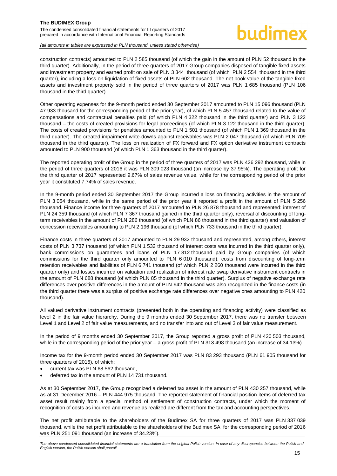### **budimex**

*(all amounts in tables are expressed in PLN thousand, unless stated otherwise)*

construction contracts) amounted to PLN 2 585 thousand (of which the gain in the amount of PLN 52 thousand in the third quarter). Additionally, in the period of three quarters of 2017 Group companies disposed of tangible fixed assets and investment property and earned profit on sale of PLN 3 344 thousand (of which PLN 2 554 thousand in the third quarter), including a loss on liquidation of fixed assets of PLN 602 thousand. The net book value of the tangible fixed assets and investment property sold in the period of three quarters of 2017 was PLN 1 685 thousand (PLN 106 thousand in the third quarter).

Other operating expenses for the 9-month period ended 30 September 2017 amounted to PLN 15 096 thousand (PLN 47 933 thousand for the corresponding period of the prior year), of which PLN 5 457 thousand related to the value of compensations and contractual penalties paid (of which PLN 4 322 thousand in the third quarter) and PLN 3 122 thousand – the costs of created provisions for legal proceedings (of which PLN 3 122 thousand in the third quarter). The costs of created provisions for penalties amounted to PLN 1 501 thousand (of which PLN 1 369 thousand in the third quarter). The created impairment write-downs against receivables was PLN 2 047 thousand (of which PLN 709 thousand in the third quarter). The loss on realization of FX forward and FX option derivative instrument contracts amounted to PLN 900 thousand (of which PLN 1 363 thousand in the third quarter).

The reported operating profit of the Group in the period of three quarters of 2017 was PLN 426 292 thousand, while in the period of three quarters of 2016 it was PLN 309 023 thousand (an increase by 37.95%). The operating profit for the third quarter of 2017 represented 9.67% of sales revenue value, while for the corresponding period of the prior year it constituted 7.74% of sales revenue.

In the 9-month period ended 30 September 2017 the Group incurred a loss on financing activities in the amount of PLN 3 054 thousand, while in the same period of the prior year it reported a profit in the amount of PLN 5 256 thousand. Finance income for three quarters of 2017 amounted to PLN 26 878 thousand and represented: interest of PLN 24 359 thousand (of which PLN 7 367 thousand gained in the third quarter only), reversal of discounting of longterm receivables in the amount of PLN 286 thousand (of which PLN 86 thousand in the third quarter) and valuation of concession receivables amounting to PLN 2 196 thousand (of which PLN 733 thousand in the third quarter).

Finance costs in three quarters of 2017 amounted to PLN 29 932 thousand and represented, among others, interest costs of PLN 3 737 thousand (of which PLN 1 532 thousand of interest costs was incurred in the third quarter only), bank commissions on guarantees and loans of PLN 17 812 thousand paid by Group companies (of which commissions for the third quarter only amounted to PLN 6 010 thousand), costs from discounting of long-term retention receivables and liabilities of PLN 6 741 thousand (of which PLN 2 260 thousand were incurred in the third quarter only) and losses incurred on valuation and realization of interest rate swap derivative instrument contracts in the amount of PLN 688 thousand (of which PLN 85 thousand in the third quarter). Surplus of negative exchange rate differences over positive differences in the amount of PLN 942 thousand was also recognized in the finance costs (in the third quarter there was a surplus of positive exchange rate differences over negative ones amounting to PLN 420 thousand).

All valued derivative instrument contracts (presented both in the operating and financing activity) were classified as level 2 in the fair value hierarchy. During the 9 months ended 30 September 2017, there was no transfer between Level 1 and Level 2 of fair value measurements, and no transfer into and out of Level 3 of fair value measurement.

In the period of 9 months ended 30 September 2017, the Group reported a gross profit of PLN 420 503 thousand, while in the corresponding period of the prior year – a gross profit of PLN 313 498 thousand (an increase of 34.13%).

Income tax for the 9-month period ended 30 September 2017 was PLN 83 293 thousand (PLN 61 905 thousand for three quarters of 2016), of which:

- current tax was PLN 68 562 thousand,
- deferred tax in the amount of PLN 14 731 thousand.

As at 30 September 2017, the Group recognized a deferred tax asset in the amount of PLN 430 257 thousand, while as at 31 December 2016 – PLN 444 975 thousand. The reported statement of financial position items of deferred tax asset result mainly from a special method of settlement of construction contracts, under which the moment of recognition of costs as incurred and revenue as realized are different from the tax and accounting perspectives.

The net profit attributable to the shareholders of the Budimex SA for three quarters of 2017 was PLN 337 039 thousand, while the net profit attributable to the shareholders of the Budimex SA for the corresponding period of 2016 was PLN 251 091 thousand (an increase of 34.23%).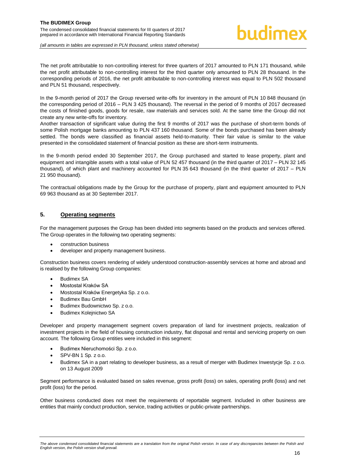The net profit attributable to non-controlling interest for three quarters of 2017 amounted to PLN 171 thousand, while the net profit attributable to non-controlling interest for the third quarter only amounted to PLN 28 thousand. In the corresponding periods of 2016, the net profit attributable to non-controlling interest was equal to PLN 502 thousand and PLN 51 thousand, respectively.

In the 9-month period of 2017 the Group reversed write-offs for inventory in the amount of PLN 10 848 thousand (in the corresponding period of 2016 – PLN 3 425 thousand). The reversal in the period of 9 months of 2017 decreased the costs of finished goods, goods for resale, raw materials and services sold. At the same time the Group did not create any new write-offs for inventory.

Another transaction of significant value during the first 9 months of 2017 was the purchase of short-term bonds of some Polish mortgage banks amounting to PLN 437 160 thousand. Some of the bonds purchased has been already settled. The bonds were classified as financial assets held-to-maturity. Their fair value is similar to the value presented in the consolidated statement of financial position as these are short-term instruments.

In the 9-month period ended 30 September 2017, the Group purchased and started to lease property, plant and equipment and intangible assets with a total value of PLN 52 457 thousand (in the third quarter of 2017 – PLN 32 145 thousand), of which plant and machinery accounted for PLN 35 643 thousand (in the third quarter of 2017 – PLN 21 950 thousand).

The contractual obligations made by the Group for the purchase of property, plant and equipment amounted to PLN 69 963 thousand as at 30 September 2017.

#### <span id="page-16-0"></span>**5. Operating segments**

For the management purposes the Group has been divided into segments based on the products and services offered. The Group operates in the following two operating segments:

- construction business
- developer and property management business.

Construction business covers rendering of widely understood construction-assembly services at home and abroad and is realised by the following Group companies:

- Budimex SA
- Mostostal Kraków SA
- Mostostal Kraków Energetyka Sp. z o.o.
- Budimex Bau GmbH
- Budimex Budownictwo Sp. z o.o.
- Budimex Kolejnictwo SA

Developer and property management segment covers preparation of land for investment projects, realization of investment projects in the field of housing construction industry, flat disposal and rental and servicing property on own account. The following Group entities were included in this segment:

- Budimex Nieruchomości Sp. z o.o.
- SPV-BN 1 Sp. z o.o.
- Budimex SA in a part relating to developer business, as a result of merger with Budimex Inwestycje Sp. z o.o. on 13 August 2009

Segment performance is evaluated based on sales revenue, gross profit (loss) on sales, operating profit (loss) and net profit (loss) for the period.

Other business conducted does not meet the requirements of reportable segment. Included in other business are entities that mainly conduct production, service, trading activities or public-private partnerships.

The above condensed consolidated financial statements are a translation from the original Polish version. In case of any discrepancies between the Polish and *English version, the Polish version shall prevail.*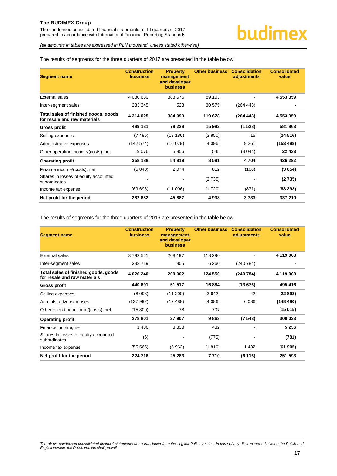The condensed consolidated financial statements for III quarters of 2017 prepared in accordance with International Financial Reporting Standards

*(all amounts in tables are expressed in PLN thousand, unless stated otherwise)*

The results of segments for the three quarters of 2017 are presented in the table below:

| <b>Segment name</b>                                                  | <b>Construction</b><br><b>business</b> | <b>Property</b><br>management<br>and developer<br><b>business</b> | <b>Other business</b> | <b>Consolidation</b><br>adjustments | <b>Consolidated</b><br>value |
|----------------------------------------------------------------------|----------------------------------------|-------------------------------------------------------------------|-----------------------|-------------------------------------|------------------------------|
| <b>External sales</b>                                                | 4 080 680                              | 383 576                                                           | 89 103                |                                     | 4 553 359                    |
| Inter-segment sales                                                  | 233 345                                | 523                                                               | 30 575                | (264 443)                           |                              |
| Total sales of finished goods, goods<br>for resale and raw materials | 4 314 025                              | 384 099                                                           | 119 678               | (264 443)                           | 4 553 359                    |
| <b>Gross profit</b>                                                  | 489 181                                | 78 228                                                            | 15 982                | (1528)                              | 581863                       |
| Selling expenses                                                     | (7495)                                 | (13186)                                                           | (3850)                | 15                                  | (24516)                      |
| Administrative expenses                                              | (142574)                               | (16079)                                                           | (4096)                | 9 2 6 1                             | (153 488)                    |
| Other operating income/(costs), net                                  | 19 0 76                                | 5856                                                              | 545                   | (3044)                              | 22 433                       |
| <b>Operating profit</b>                                              | 358 188                                | 54 819                                                            | 8581                  | 4704                                | 426 292                      |
| Finance income/(costs), net                                          | (5840)                                 | 2074                                                              | 812                   | (100)                               | (3054)                       |
| Shares in losses of equity accounted<br>subordinates                 |                                        |                                                                   | (2735)                |                                     | (2735)                       |
| Income tax expense                                                   | (69696)                                | (11006)                                                           | (1720)                | (871)                               | (83 293)                     |
| Net profit for the period                                            | 282 652                                | 45 887                                                            | 4938                  | 3733                                | 337 210                      |

The results of segments for the three quarters of 2016 are presented in the table below:

<span id="page-17-0"></span>

| <b>Segment name</b>                                                  | <b>Construction</b><br><b>business</b> | <b>Property</b><br>management<br>and developer<br><b>business</b> | <b>Other business</b> | <b>Consolidation</b><br>adjustments | <b>Consolidated</b><br>value |
|----------------------------------------------------------------------|----------------------------------------|-------------------------------------------------------------------|-----------------------|-------------------------------------|------------------------------|
| <b>External sales</b>                                                | 3792521                                | 208 197                                                           | 118 290               |                                     | 4 119 008                    |
| Inter-segment sales                                                  | 233 719                                | 805                                                               | 6 2 6 0               | (240784)                            |                              |
| Total sales of finished goods, goods<br>for resale and raw materials | 4 026 240                              | 209 002                                                           | 124 550               | (240 784)                           | 4 119 008                    |
| <b>Gross profit</b>                                                  | 440 691                                | 51 517                                                            | 16884                 | (13676)                             | 495 416                      |
| Selling expenses                                                     | (8098)                                 | (11 200)                                                          | (3642)                | 42                                  | (22898)                      |
| Administrative expenses                                              | (137992)                               | (12488)                                                           | (4086)                | 6086                                | (148480)                     |
| Other operating income/(costs), net                                  | (15 800)                               | 78                                                                | 707                   |                                     | (15015)                      |
| <b>Operating profit</b>                                              | 278 801                                | 27 907                                                            | 9863                  | (7548)                              | 309 023                      |
| Finance income, net                                                  | 1486                                   | 3 3 3 8                                                           | 432                   |                                     | 5 2 5 6                      |
| Shares in losses of equity accounted<br>subordinates                 | (6)                                    |                                                                   | (775)                 |                                     | (781)                        |
| Income tax expense                                                   | (55 565)                               | (5962)                                                            | (1810)                | 1 4 3 2                             | (61905)                      |
| Net profit for the period                                            | 224 716                                | 25 283                                                            | 7710                  | (6116)                              | 251 593                      |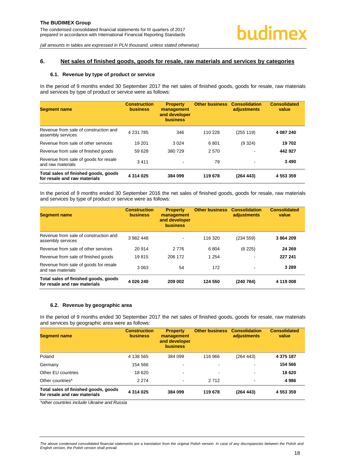#### <span id="page-18-0"></span>**6. Net sales of finished goods, goods for resale, raw materials and services by categories**

#### **6.1. Revenue by type of product or service**

In the period of 9 months ended 30 September 2017 the net sales of finished goods, goods for resale, raw materials and services by type of product or service were as follows:

| <b>Segment name</b>                                                  | <b>Construction</b><br><b>business</b> | <b>Property</b><br>management<br>and developer<br><b>business</b> | <b>Other business</b> | <b>Consolidation</b><br>adjustments | <b>Consolidated</b><br>value |
|----------------------------------------------------------------------|----------------------------------------|-------------------------------------------------------------------|-----------------------|-------------------------------------|------------------------------|
| Revenue from sale of construction and<br>assembly services           | 4 2 31 7 8 5                           | 346                                                               | 110 228               | (255 119)                           | 4 087 240                    |
| Revenue from sale of other services                                  | 19 201                                 | 3 0 2 4                                                           | 6801                  | (9324)                              | 19702                        |
| Revenue from sale of finished goods                                  | 59 628                                 | 380 729                                                           | 2 5 7 0               |                                     | 442927                       |
| Revenue from sale of goods for resale<br>and raw materials           | 3411                                   | $\blacksquare$                                                    | 79                    | $\blacksquare$                      | 3490                         |
| Total sales of finished goods, goods<br>for resale and raw materials | 4 314 025                              | 384 099                                                           | 119 678               | (264 443)                           | 4 553 359                    |

In the period of 9 months ended 30 September 2016 the net sales of finished goods, goods for resale, raw materials and services by type of product or service were as follows:

| <b>Segment name</b>                                                  | <b>Construction</b><br><b>business</b> | <b>Property</b><br>management<br>and developer<br><b>business</b> | <b>Other business</b> | <b>Consolidation</b><br>adjustments | <b>Consolidated</b><br>value |
|----------------------------------------------------------------------|----------------------------------------|-------------------------------------------------------------------|-----------------------|-------------------------------------|------------------------------|
| Revenue from sale of construction and<br>assembly services           | 3 982 448                              | $\overline{\phantom{a}}$                                          | 116 320               | (234 559)                           | 3864209                      |
| Revenue from sale of other services                                  | 20 914                                 | 2 7 7 6                                                           | 6804                  | (6225)                              | 24 269                       |
| Revenue from sale of finished goods                                  | 19815                                  | 206 172                                                           | 1 2 5 4               |                                     | 227 241                      |
| Revenue from sale of goods for resale<br>and raw materials           | 3063                                   | 54                                                                | 172                   | ٠                                   | 3 2 8 9                      |
| Total sales of finished goods, goods<br>for resale and raw materials | 4 026 240                              | 209 002                                                           | 124 550               | (240784)                            | 4 119 008                    |

#### <span id="page-18-1"></span>**6.2. Revenue by geographic area**

In the period of 9 months ended 30 September 2017 the net sales of finished goods, goods for resale, raw materials and services by geographic area were as follows:

| <b>Segment name</b>                                                  | <b>Construction</b><br><b>business</b> | <b>Property</b><br>management<br>and developer<br><b>business</b> | <b>Other business</b> | <b>Consolidation</b><br>adjustments | <b>Consolidated</b><br>value |
|----------------------------------------------------------------------|----------------------------------------|-------------------------------------------------------------------|-----------------------|-------------------------------------|------------------------------|
| Poland                                                               | 4 138 565                              | 384 099                                                           | 116 966               | (264 443)                           | 4 375 187                    |
| Germany                                                              | 154 566                                | $\,$                                                              | $\blacksquare$        | ٠                                   | 154 566                      |
| Other EU countries                                                   | 18 6 20                                | $\overline{\phantom{a}}$                                          | $\,$                  | ۰                                   | 18 620                       |
| Other countries*                                                     | 2 2 7 4                                | $\sim$                                                            | 2 7 1 2               | $\blacksquare$                      | 4986                         |
| Total sales of finished goods, goods<br>for resale and raw materials | 4 314 025                              | 384 099                                                           | 119 678               | (264 443)                           | 4 553 359                    |

*\*other countries include Ukraine and Russia*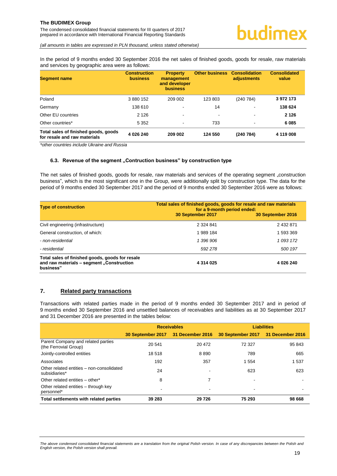*(all amounts in tables are expressed in PLN thousand, unless stated otherwise)*

In the period of 9 months ended 30 September 2016 the net sales of finished goods, goods for resale, raw materials and services by geographic area were as follows:

| <b>Segment name</b>                                                  | <b>Construction</b><br><b>business</b> | <b>Property</b><br>management<br>and developer<br><b>business</b> | <b>Other business</b> | <b>Consolidation</b><br>adjustments | <b>Consolidated</b><br>value |
|----------------------------------------------------------------------|----------------------------------------|-------------------------------------------------------------------|-----------------------|-------------------------------------|------------------------------|
| Poland                                                               | 3 880 152                              | 209 002                                                           | 123 803               | (240 784)                           | 3972173                      |
| Germany                                                              | 138 610                                | $\,$                                                              | 14                    |                                     | 138 624                      |
| Other EU countries                                                   | 2 1 2 6                                | $\,$                                                              | $\,$                  | -                                   | 2 1 2 6                      |
| Other countries*                                                     | 5 3 5 2                                | $\blacksquare$                                                    | 733                   | $\blacksquare$                      | 6 0 8 5                      |
| Total sales of finished goods, goods<br>for resale and raw materials | 4 026 240                              | 209 002                                                           | 124 550               | (240784)                            | 4 119 008                    |

*\*other countries include Ukraine and Russia* 

#### <span id="page-19-0"></span>**6.3. Revenue of the segment "Contruction business" by construction type**

The net sales of finished goods, goods for resale, raw materials and services of the operating segment "construction business", which is the most significant one in the Group, were additionally split by construction type. The data for the period of 9 months ended 30 September 2017 and the period of 9 months ended 30 September 2016 were as follows:

| <b>Type of construction</b>                                                                               | Total sales of finished goods, goods for resale and raw materials<br>for a 9-month period ended:<br>30 September 2017<br>30 September 2016 |           |  |  |
|-----------------------------------------------------------------------------------------------------------|--------------------------------------------------------------------------------------------------------------------------------------------|-----------|--|--|
| Civil engineering (infrastructure)                                                                        | 2 3 2 4 8 4 1                                                                                                                              | 2 432 871 |  |  |
| General construction, of which:                                                                           | 1 989 184                                                                                                                                  | 1 593 369 |  |  |
| - non-residential                                                                                         | 1 396 906                                                                                                                                  | 1 093 172 |  |  |
| - residential                                                                                             | 592 278                                                                                                                                    | 500 197   |  |  |
| Total sales of finished goods, goods for resale<br>and raw materials - segment "Construction<br>business" | 4 314 025                                                                                                                                  | 4 026 240 |  |  |

#### <span id="page-19-1"></span>**7. Related party transactions**

Transactions with related parties made in the period of 9 months ended 30 September 2017 and in period of 9 months ended 30 September 2016 and unsettled balances of receivables and liabilities as at 30 September 2017 and 31 December 2016 are presented in the tables below:

|                                                             |                                    | <b>Receivables</b> |                                    | <b>Liabilities</b> |
|-------------------------------------------------------------|------------------------------------|--------------------|------------------------------------|--------------------|
|                                                             | 30 September 2017 31 December 2016 |                    | 30 September 2017 31 December 2016 |                    |
| Parent Company and related parties<br>(the Ferrovial Group) | 20 541                             | 20 472             | 72 327                             | 95 843             |
| Jointly-controlled entities                                 | 18518                              | 8890               | 789                                | 665                |
| Associates                                                  | 192                                | 357                | 1 5 5 4                            | 1537               |
| Other related entities - non-consolidated<br>subsidiaries*  | 24                                 |                    | 623                                | 623                |
| Other related entities - other*                             | 8                                  |                    |                                    |                    |
| Other related entities – through key<br>personnel*          |                                    |                    | ٠                                  |                    |
| Total settlements with related parties                      | 39 283                             | 29 7 26            | 75 293                             | 98 668             |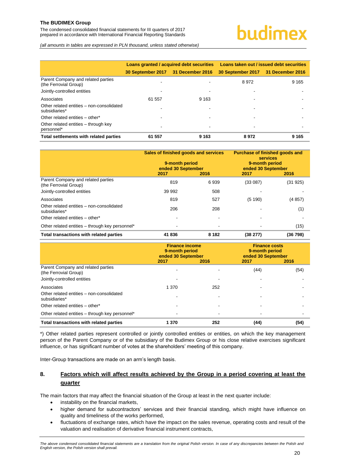The condensed consolidated financial statements for III quarters of 2017 prepared in accordance with International Financial Reporting Standards

*(all amounts in tables are expressed in PLN thousand, unless stated otherwise)*

|                                                             |                                    | Loans granted / acquired debt securities | Loans taken out / issued debt securities |         |  |
|-------------------------------------------------------------|------------------------------------|------------------------------------------|------------------------------------------|---------|--|
|                                                             | 30 September 2017 31 December 2016 |                                          | 30 September 2017 31 December 2016       |         |  |
| Parent Company and related parties<br>(the Ferrovial Group) |                                    |                                          | 8972                                     | 9 1 6 5 |  |
| Jointly-controlled entities                                 |                                    |                                          |                                          |         |  |
| Associates                                                  | 61 557                             | 9 1 6 3                                  |                                          |         |  |
| Other related entities - non-consolidated<br>subsidiaries*  |                                    |                                          | -                                        |         |  |
| Other related entities - other*                             |                                    |                                          |                                          |         |  |
| Other related entities – through key<br>personnel*          |                                    |                                          |                                          |         |  |
| Total settlements with related parties                      | 61 557                             | 9 1 6 3                                  | 8972                                     | 9 1 6 5 |  |

|                                                             | Sales of finished goods and services<br>9-month period<br>ended 30 September<br>2017<br>2016 |         | <b>Purchase of finished goods and</b><br><b>services</b><br>9-month period<br>ended 30 September<br>2017<br>2016 |         |
|-------------------------------------------------------------|----------------------------------------------------------------------------------------------|---------|------------------------------------------------------------------------------------------------------------------|---------|
| Parent Company and related parties<br>(the Ferrovial Group) | 819                                                                                          | 6939    | (33087)                                                                                                          | (31925) |
| Jointly-controlled entities                                 | 39 992                                                                                       | 508     |                                                                                                                  |         |
| Associates                                                  | 819                                                                                          | 527     | (5190)                                                                                                           | (4857)  |
| Other related entities - non-consolidated<br>subsidiaries*  | 206                                                                                          | 208     |                                                                                                                  | (1)     |
| Other related entities - other*                             |                                                                                              |         |                                                                                                                  |         |
| Other related entities - through key personnel*             |                                                                                              | ۰       |                                                                                                                  | (15)    |
| Total transactions with related parties                     | 41836                                                                                        | 8 1 8 2 | (38 277)                                                                                                         | (36798) |

|                                                             | <b>Finance income</b><br>9-month period<br>ended 30 September<br>2017<br>2016 |     | <b>Finance costs</b><br>9-month period<br>ended 30 September<br>2016<br>2017 |      |
|-------------------------------------------------------------|-------------------------------------------------------------------------------|-----|------------------------------------------------------------------------------|------|
| Parent Company and related parties<br>(the Ferrovial Group) |                                                                               |     | (44)                                                                         | (54) |
| Jointly-controlled entities                                 |                                                                               |     |                                                                              |      |
| Associates                                                  | 1 370                                                                         | 252 |                                                                              |      |
| Other related entities - non-consolidated<br>subsidiaries*  |                                                                               |     |                                                                              |      |
| Other related entities - other*                             |                                                                               |     |                                                                              |      |
| Other related entities - through key personnel*             |                                                                               |     | ۰                                                                            |      |
| Total transactions with related parties                     | 1 370                                                                         | 252 | (44)                                                                         | (54) |

\*) Other related parties represent controlled or jointly controlled entities or entities, on which the key management person of the Parent Company or of the subsidiary of the Budimex Group or his close relative exercises significant influence, or has significant number of votes at the shareholders' meeting of this company.

Inter-Group transactions are made on an arm's length basis.

#### <span id="page-20-0"></span>**8. Factors which will affect results achieved by the Group in a period covering at least the quarter**

The main factors that may affect the financial situation of the Group at least in the next quarter include:

- instability on the financial markets,
	- higher demand for subcontractors' services and their financial standing, which might have influence on quality and timeliness of the works performed,
- fluctuations of exchange rates, which have the impact on the sales revenue, operating costs and result of the valuation and realisation of derivative financial instrument contracts,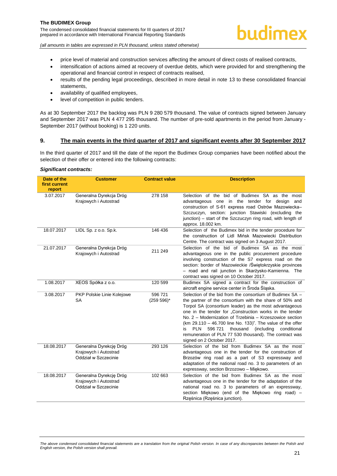

- price level of material and construction services affecting the amount of direct costs of realised contracts,
- intensification of actions aimed at recovery of overdue debts, which were provided for and strengthening the operational and financial control in respect of contracts realised,
- results of the pending legal proceedings, described in more detail in note [13](#page-22-3) to these consolidated financial statements,
- availability of qualified employees,
- level of competition in public tenders.

As at 30 September 2017 the backlog was PLN 9 280 579 thousand. The value of contracts signed between January and September 2017 was PLN 4 477 295 thousand. The number of pre-sold apartments in the period from January - September 2017 (without booking) is 1 220 units.

#### <span id="page-21-0"></span>**9. The main events in the third quarter of 2017 and significant events after 30 September 2017**

In the third quarter of 2017 and till the date of the report the Budimex Group companies have been notified about the selection of their offer or entered into the following contracts:

#### *Significant contracts:*

| Date of the<br>first current<br>report | <b>Customer</b>                                                          | <b>Contract value</b>    | <b>Description</b>                                                                                                                                                                                                                                                                                                                                                                                                                                                                                                                |
|----------------------------------------|--------------------------------------------------------------------------|--------------------------|-----------------------------------------------------------------------------------------------------------------------------------------------------------------------------------------------------------------------------------------------------------------------------------------------------------------------------------------------------------------------------------------------------------------------------------------------------------------------------------------------------------------------------------|
| 3.07.2017                              | Generalna Dyrekcja Dróg<br>Krajowych i Autostrad                         | 278 158                  | Selection of the bid of Budimex SA as the most<br>advantageous one in the tender for design and<br>construction of S-61 express road Ostrów Mazowiecka-<br>Szczuczyn, section: junction Stawiski (excluding the<br>junction) – start of the Szczuczyn ring road, with length of<br>approx. 18.002 km.                                                                                                                                                                                                                             |
| 18.07.2017                             | LIDL Sp. z o.o. Sp.k.                                                    | 146 436                  | Selection of the Budimex bid in the tender procedure for<br>the construction of Lidl Mińsk Mazowiecki Distribution<br>Centre. The contract was signed on 3 August 2017.                                                                                                                                                                                                                                                                                                                                                           |
| 21.07.2017                             | Generalna Dyrekcja Dróg<br>Krajowych i Autostrad                         | 211 249                  | Selection of the bid of Budimex SA as the most<br>advantageous one in the public procurement procedure<br>involving construction of the S7 express road on the<br>section: border of Mazowieckie /Świętokrzyskie provinces<br>- road and rail junction in Skarżysko-Kamienna. The<br>contract was signed on 10 October 2017.                                                                                                                                                                                                      |
| 1.08.2017                              | XEOS Spółka z o.o.                                                       | 120 599                  | Budimex SA signed a contract for the construction of<br>aircraft engine service center in Sroda Slaska.                                                                                                                                                                                                                                                                                                                                                                                                                           |
| 3.08.2017                              | PKP Polskie Linie Kolejowe<br>SA                                         | 596 721<br>$(259 596)^*$ | Selection of the bid from the consortium of Budimex SA -<br>the partner of the consortium with the share of 50% and<br>Torpol SA (consortium leader) as the most advantageous<br>one in the tender for "Construction works in the tender<br>No. 2 - Modernization of Trzebinia - Krzeszowice section<br>(km 29.110 - 46.700 line No. 133)". The value of the offer<br><b>PLN</b><br>596 721<br>thousand<br>(including<br>conditional<br>is<br>remuneration of PLN 77 530 thousand). The contract was<br>signed on 2 October 2017. |
| 18.08.2017                             | Generalna Dyrekcję Dróg<br>Krajowych i Autostrad<br>Oddział w Szczecinie | 293 126                  | Selection of the bid from Budimex SA as the most<br>advantageous one in the tender for the construction of<br>Brzozów ring road as a part of S3 expressway and<br>adaptation of the national road no. 3 to parameters of an<br>expressway, section Brzozowo - Miękowo.                                                                                                                                                                                                                                                            |
| 18.08.2017                             | Generalna Dyrekcję Dróg<br>Krajowych i Autostrad<br>Oddział w Szczecinie | 102 663                  | Selection of the bid from Budimex SA as the most<br>advantageous one in the tender for the adaptation of the<br>national road no. 3 to parameters of an expressway,<br>section Miekowo (end of the Miekowo ring road) -<br>Rzęśnica (Rzęśnica junction).                                                                                                                                                                                                                                                                          |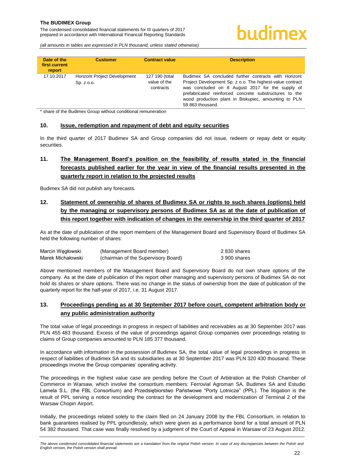### <span id="page-22-0"></span>hudimex

*(all amounts in tables are expressed in PLN thousand, unless stated otherwise)*

| Date of the<br>first current<br>report | <b>Customer</b>                                    | <b>Contract value</b>                       | <b>Description</b>                                                                                                                                                                                                                                                                                          |
|----------------------------------------|----------------------------------------------------|---------------------------------------------|-------------------------------------------------------------------------------------------------------------------------------------------------------------------------------------------------------------------------------------------------------------------------------------------------------------|
| 17.10.2017                             | <b>Horizont Project Development</b><br>Sp. z. 0.0. | 127 190 (total<br>value of the<br>contracts | Budimex SA concluded further contracts with Horizont<br>Project Development Sp. z o.o. The highest-value contract<br>was concluded on 8 August 2017 for the supply of<br>prefabricated reinforced concrete substructures to the<br>wood production plant in Biskupiec, amounting to PLN<br>59 863 thousand. |

\* share of the Budimex Group without conditional remuneration

#### **10. Issue, redemption and repayment of debt and equity securities**

In the third quarter of 2017 Budimex SA and Group companies did not issue, redeem or repay debt or equity securities.

#### <span id="page-22-1"></span>**11. The Management Board's position on the feasibility of results stated in the financial forecasts published earlier for the year in view of the financial results presented in the quarterly report in relation to the projected results**

Budimex SA did not publish any forecasts.

#### <span id="page-22-2"></span>**12. Statement of ownership of shares of Budimex SA or rights to such shares (options) held by the managing or supervisory persons of Budimex SA as at the date of publication of this report together with indication of changes in the ownership in the third quarter of 2017**

As at the date of publication of the report members of the Management Board and Supervisory Board of Budimex SA held the following number of shares:

| Marcin Wegłowski  | (Management Board member)           | 2830 shares  |
|-------------------|-------------------------------------|--------------|
| Marek Michałowski | (chairman of the Supervisory Board) | 3 900 shares |

Above mentioned members of the Management Board and Supervisory Board do not own share options of the company. As at the date of publication of this report other managing and supervisory persons of Budimex SA do not hold its shares or share options. There was no change in the status of ownership from the date of publication of the quarterly report for the half-year of 2017, i.e. 31 August 2017.

#### <span id="page-22-3"></span>**13. Proceedings pending as at 30 September 2017 before court, competent arbitration body or any public administration authority**

The total value of legal proceedings in progress in respect of liabilities and receivables as at 30 September 2017 was PLN 455 483 thousand. Excess of the value of proceedings against Group companies over proceedings relating to claims of Group companies amounted to PLN 185 377 thousand.

In accordance with information in the possession of Budimex SA, the total value of legal proceedings in progress in respect of liabilities of Budimex SA and its subsidiaries as at 30 September 2017 was PLN 320 430 thousand. These proceedings involve the Group companies' operating activity.

The proceedings in the highest value case are pending before the Court of Arbitration at the Polish Chamber of Commerce in Warsaw, which involve the consortium members: Ferrovial Agroman SA, Budimex SA and Estudio Lamela S.L. (the FBL Consortium) and Przedsiębiorstwo Państwowe "Porty Lotnicze" (PPL). The litigation is the result of PPL serving a notice rescinding the contract for the development and modernization of Terminal 2 of the Warsaw Chopin Airport.

Initially, the proceedings related solely to the claim filed on 24 January 2008 by the FBL Consortium, in relation to bank guarantees realised by PPL groundlessly, which were given as a performance bond for a total amount of PLN 54 382 thousand. That case was finally resolved by a judgment of the Court of Appeal in Warsaw of 23 August 2012.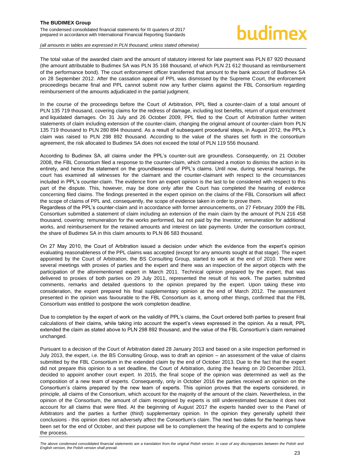### budimex

*(all amounts in tables are expressed in PLN thousand, unless stated otherwise)*

The total value of the awarded claim and the amount of statutory interest for late payment was PLN 87 920 thousand (the amount attributable to Budimex SA was PLN 35 168 thousand, of which PLN 21 612 thousand as reimbursement of the performance bond). The court enforcement officer transferred that amount to the bank account of Budimex SA on 28 September 2012. After the cassation appeal of PPL was dismissed by the Supreme Court, the enforcement proceedings became final and PPL cannot submit now any further claims against the FBL Consortium regarding reimbursement of the amounts adjudicated in the partial judgment.

In the course of the proceedings before the Court of Arbitration, PPL filed a counter-claim of a total amount of PLN 135 719 thousand, covering claims for the redress of damage, including lost benefits, return of unjust enrichment and liquidated damages. On 31 July and 26 October 2009, PPL filed to the Court of Arbitration further written statements of claim including extension of the counter-claim, changing the original amount of counter-claim from PLN 135 719 thousand to PLN 280 894 thousand. As a result of subsequent procedural steps, in August 2012, the PPL's claim was raised to PLN 298 892 thousand. According to the value of the shares set forth in the consortium agreement, the risk allocated to Budimex SA does not exceed the total of PLN 119 556 thousand.

According to Budimex SA, all claims under the PPL's counter-suit are groundless. Consequently, on 21 October 2008, the FBL Consortium filed a response to the counter-claim, which contained a motion to dismiss the action in its entirety, and hence the statement on the groundlessness of PPL's claims. Until now, during several hearings, the court has examined all witnesses for the claimant and the counter-claimant with respect to the circumstances included in PPL's counter-claim. The evidence from an expert opinion is the last to be considered with respect to this part of the dispute. This, however, may be done only after the Court has completed the hearing of evidence concerning filed claims. The findings presented in the expert opinion on the claims of the FBL Consortium will affect the scope of claims of PPL and, consequently, the scope of evidence taken in order to prove them.

Regardless of the PPL's counter-claim and in accordance with former announcements, on 27 February 2009 the FBL Consortium submitted a statement of claim including an extension of the main claim by the amount of PLN 216 458 thousand, covering: remuneration for the works performed, but not paid by the Investor, remuneration for additional works, and reimbursement for the retained amounts and interest on late payments. Under the consortium contract, the share of Budimex SA in this claim amounts to PLN 86 583 thousand.

On 27 May 2010, the Court of Arbitration issued a decision under which the evidence from the expert's opinion evaluating reasonableness of the PPL claims was accepted (except for any amounts sought at that stage). The expert appointed by the Court of Arbitration, the BS Consulting Group, started to work at the end of 2010. There were several meetings with proxies of parties and the expert and there was an inspection of the airport objects with the participation of the aforementioned expert in March 2011. Technical opinion prepared by the expert, that was delivered to proxies of both parties on 29 July 2011, represented the result of his work. The parties submitted comments, remarks and detailed questions to the opinion prepared by the expert. Upon taking these into consideration, the expert prepared his final supplementary opinion at the end of March 2012. The assessment presented in the opinion was favourable to the FBL Consortium as it, among other things, confirmed that the FBL Consortium was entitled to postpone the work completion deadline.

Due to completion by the expert of work on the validity of PPL's claims, the Court ordered both parties to present final calculations of their claims, while taking into account the expert's views expressed in the opinion. As a result, PPL extended the claim as stated above to PLN 298 892 thousand, and the value of the FBL Consortium's claim remained unchanged.

Pursuant to a decision of the Court of Arbitration dated 28 January 2013 and based on a site inspection performed in July 2013, the expert, i.e. the BS Consulting Group, was to draft an opinion – an assessment of the value of claims submitted by the FBL Consortium in the extended claim by the end of October 2013. Due to the fact that the expert did not prepare this opinion to a set deadline, the Court of Arbitration, during the hearing on 20 December 2013, decided to appoint another court expert. In 2015, the final scope of the opinion was determined as well as the composition of a new team of experts. Consequently, only in October 2016 the parties received an opinion on the Consortium's claims prepared by the new team of experts. This opinion proves that the experts considered, in principle, all claims of the Consortium, which account for the majority of the amount of the claim. Nevertheless, in the opinion of the Consortium, the amount of claim recognised by experts is still underestimated because it does not account for all claims that were filed. At the beginning of August 2017 the experts handed over to the Panel of Arbitrators and the parties a further (third) supplementary opinion. In the opinion they generally upheld their conclusions - this opinion does not adversely affect the Consortium's claim. The next two dates for the hearings have been set for the end of October, and their purpose will be to complement the hearing of the experts and to complete the process.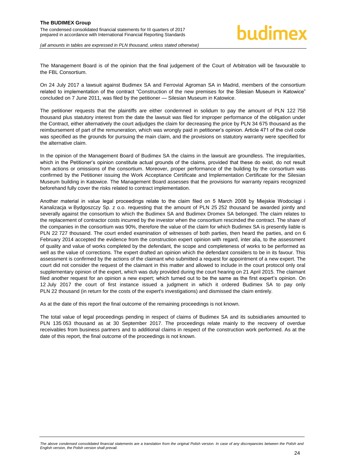The Management Board is of the opinion that the final judgement of the Court of Arbitration will be favourable to the FBL Consortium.

On 24 July 2017 a lawsuit against Budimex SA and Ferrovial Agroman SA in Madrid, members of the consortium related to implementation of the contract "Construction of the new premises for the Silesian Museum in Katowice" concluded on 7 June 2011, was filed by the petitioner — Silesian Museum in Katowice.

The petitioner requests that the plaintiffs are either condemned in solidum to pay the amount of PLN 122 758 thousand plus statutory interest from the date the lawsuit was filed for improper performance of the obligation under the Contract, either alternatively the court adjudges the claim for decreasing the price by PLN 34 675 thousand as the reimbursement of part of the remuneration, which was wrongly paid in petitioner's opinion. Article 471 of the civil code was specified as the grounds for pursuing the main claim, and the provisions on statutory warranty were specified for the alternative claim.

In the opinion of the Management Board of Budimex SA the claims in the lawsuit are groundless. The irregularities, which in the Petitioner's opinion constitute actual grounds of the claims, provided that these do exist, do not result from actions or omissions of the consortium. Moreover, proper performance of the building by the consortium was confirmed by the Petitioner issuing the Work Acceptance Certificate and Implementation Certificate for the Silesian Museum building in Katowice. The Management Board assesses that the provisions for warranty repairs recognized beforehand fully cover the risks related to contract implementation.

Another material in value legal proceedings relate to the claim filed on 5 March 2008 by Miejskie Wodociągi i Kanalizacja w Bydgoszczy Sp. z o.o. requesting that the amount of PLN 25 252 thousand be awarded jointly and severally against the consortium to which the Budimex SA and Budimex Dromex SA belonged. The claim relates to the replacement of contractor costs incurred by the investor when the consortium rescinded the contract. The share of the companies in the consortium was 90%, therefore the value of the claim for which Budimex SA is presently liable is PLN 22 727 thousand. The court ended examination of witnesses of both parties, then heard the parties, and on 6 February 2014 accepted the evidence from the construction expert opinion with regard, inter alia, to the assessment of quality and value of works completed by the defendant, the scope and completeness of works to be performed as well as the value of corrections. The expert drafted an opinion which the defendant considers to be in its favour. This assessment is confirmed by the actions of the claimant who submitted a request for appointment of a new expert. The court did not consider the request of the claimant in this matter and allowed to include in the court protocol only oral supplementary opinion of the expert, which was duly provided during the court hearing on 21 April 2015. The claimant filed another request for an opinion a new expert; which turned out to be the same as the first expert's opinion. On 12 July 2017 the court of first instance issued a judgment in which it ordered Budimex SA to pay only PLN 22 thousand (in return for the costs of the expert's investigations) and dismissed the claim entirely.

As at the date of this report the final outcome of the remaining proceedings is not known.

The total value of legal proceedings pending in respect of claims of Budimex SA and its subsidiaries amounted to PLN 135 053 thousand as at 30 September 2017. The proceedings relate mainly to the recovery of overdue receivables from business partners and to additional claims in respect of the construction work performed. As at the date of this report, the final outcome of the proceedings is not known.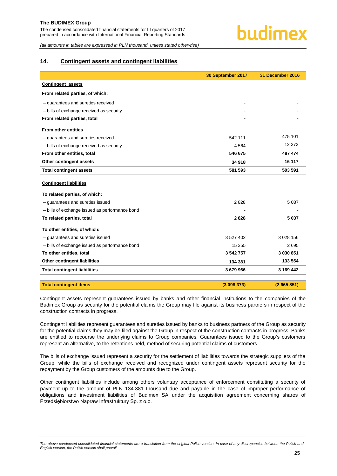*(all amounts in tables are expressed in PLN thousand, unless stated otherwise)*

#### <span id="page-25-0"></span>**14. Contingent assets and contingent liabilities**

|                                                | 30 September 2017 | 31 December 2016 |
|------------------------------------------------|-------------------|------------------|
| <b>Contingent assets</b>                       |                   |                  |
| From related parties, of which:                |                   |                  |
| - quarantees and sureties received             |                   |                  |
| - bills of exchange received as security       |                   |                  |
| From related parties, total                    |                   |                  |
| <b>From other entities</b>                     |                   |                  |
| - guarantees and sureties received             | 542 111           | 475 101          |
| - bills of exchange received as security       | 4 5 6 4           | 12 373           |
| From other entities, total                     | 546 675           | 487 474          |
| Other contingent assets                        | 34 918            | 16 117           |
| <b>Total contingent assets</b>                 | 581 593           | 503 591          |
| <b>Contingent liabilities</b>                  |                   |                  |
| To related parties, of which:                  |                   |                  |
| - guarantees and sureties issued               | 2828              | 5 0 3 7          |
| - bills of exchange issued as performance bond |                   |                  |
| To related parties, total                      | 2828              | 5 0 3 7          |
| To other entities, of which:                   |                   |                  |
| - guarantees and sureties issued               | 3 5 2 7 4 0 2     | 3 0 28 1 56      |
| - bills of exchange issued as performance bond | 15 355            | 2695             |
| To other entities, total                       | 3 542 757         | 3 030 851        |
| <b>Other contingent liabilities</b>            | 134 381           | 133 554          |
| <b>Total contingent liabilities</b>            | 3 679 966         | 3 169 442        |
| <b>Total contingent items</b>                  | (3098373)         | (2665851)        |

Contingent assets represent guarantees issued by banks and other financial institutions to the companies of the Budimex Group as security for the potential claims the Group may file against its business partners in respect of the construction contracts in progress.

Contingent liabilities represent guarantees and sureties issued by banks to business partners of the Group as security for the potential claims they may be filed against the Group in respect of the construction contracts in progress. Banks are entitled to recourse the underlying claims to Group companies. Guarantees issued to the Group's customers represent an alternative, to the retentions held, method of securing potential claims of customers.

The bills of exchange issued represent a security for the settlement of liabilities towards the strategic suppliers of the Group, while the bills of exchange received and recognized under contingent assets represent security for the repayment by the Group customers of the amounts due to the Group.

Other contingent liabilities include among others voluntary acceptance of enforcement constituting a security of payment up to the amount of PLN 134 381 thousand due and payable in the case of improper performance of obligations and investment liabilities of Budimex SA under the acquisition agreement concerning shares of Przedsiębiorstwo Napraw Infrastruktury Sp. z o.o.

The above condensed consolidated financial statements are a translation from the original Polish version. In case of any discrepancies between the Polish and *English version, the Polish version shall prevail.*